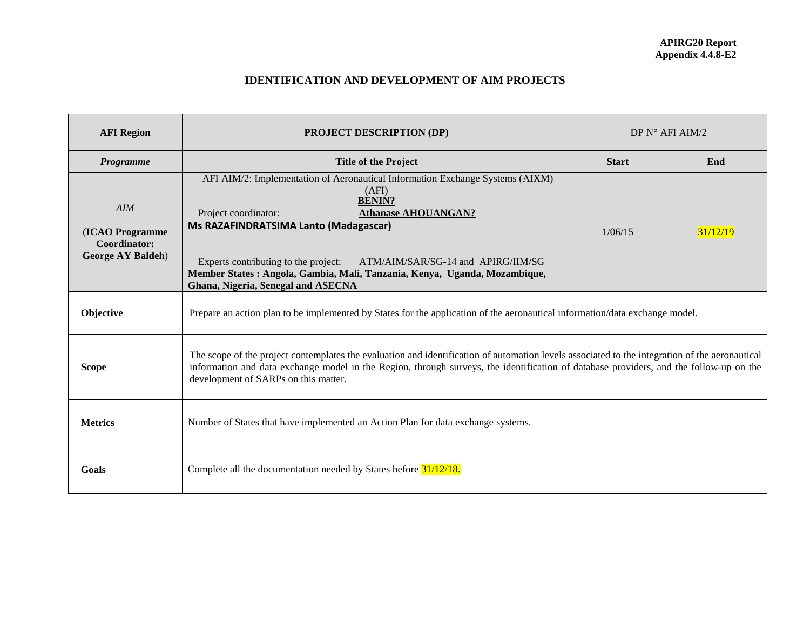## **IDENTIFICATION AND DEVELOPMENT OF AIM PROJECTS**

| <b>AFI</b> Region                                                          | <b>PROJECT DESCRIPTION (DP)</b>                                                                                                                                                                                                                                                                                                                                                                         | DP $N^{\circ}$ AFI AIM/2 |          |  |  |
|----------------------------------------------------------------------------|---------------------------------------------------------------------------------------------------------------------------------------------------------------------------------------------------------------------------------------------------------------------------------------------------------------------------------------------------------------------------------------------------------|--------------------------|----------|--|--|
| Programme                                                                  | <b>Title of the Project</b>                                                                                                                                                                                                                                                                                                                                                                             | <b>Start</b>             | End      |  |  |
| AIM<br>(ICAO Programme<br><b>Coordinator:</b><br><b>George AY Baldeh</b> ) | AFI AIM/2: Implementation of Aeronautical Information Exchange Systems (AIXM)<br>(AFI)<br><b>BENIN?</b><br><b>Athanase AHOUANGAN?</b><br>Project coordinator:<br>Ms RAZAFINDRATSIMA Lanto (Madagascar)<br>Experts contributing to the project:<br>ATM/AIM/SAR/SG-14 and APIRG/IIM/SG<br>Member States: Angola, Gambia, Mali, Tanzania, Kenya, Uganda, Mozambique,<br>Ghana, Nigeria, Senegal and ASECNA | 1/06/15                  | 31/12/19 |  |  |
| Objective                                                                  | Prepare an action plan to be implemented by States for the application of the aeronautical information/data exchange model.                                                                                                                                                                                                                                                                             |                          |          |  |  |
| <b>Scope</b>                                                               | The scope of the project contemplates the evaluation and identification of automation levels associated to the integration of the aeronautical<br>information and data exchange model in the Region, through surveys, the identification of database providers, and the follow-up on the<br>development of SARPs on this matter.                                                                        |                          |          |  |  |
| <b>Metrics</b>                                                             | Number of States that have implemented an Action Plan for data exchange systems.                                                                                                                                                                                                                                                                                                                        |                          |          |  |  |
| Goals                                                                      | Complete all the documentation needed by States before 31/12/18.                                                                                                                                                                                                                                                                                                                                        |                          |          |  |  |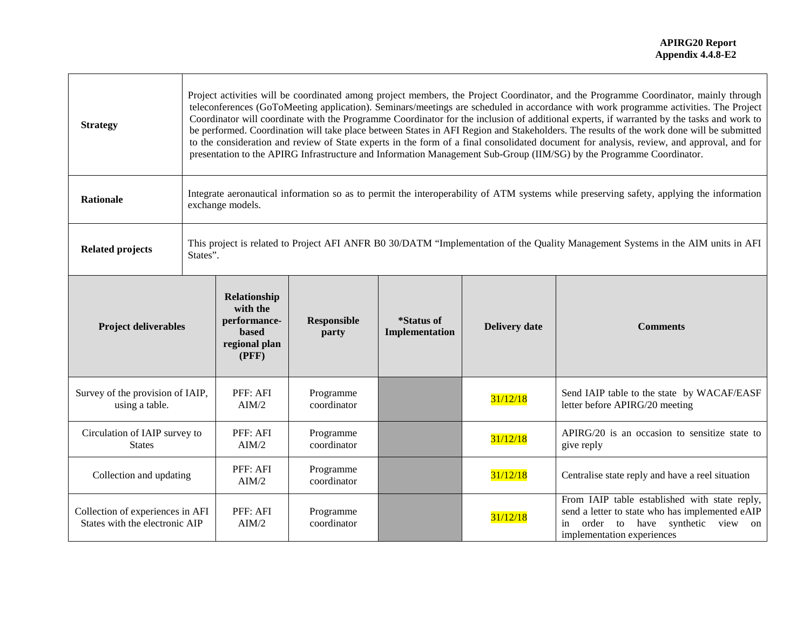| <b>Strategy</b>                                                    | Project activities will be coordinated among project members, the Project Coordinator, and the Programme Coordinator, mainly through<br>teleconferences (GoToMeeting application). Seminars/meetings are scheduled in accordance with work programme activities. The Project<br>Coordinator will coordinate with the Programme Coordinator for the inclusion of additional experts, if warranted by the tasks and work to<br>be performed. Coordination will take place between States in AFI Region and Stakeholders. The results of the work done will be submitted<br>to the consideration and review of State experts in the form of a final consolidated document for analysis, review, and approval, and for<br>presentation to the APIRG Infrastructure and Information Management Sub-Group (IIM/SG) by the Programme Coordinator. |                                                                             |                          |                              |                      |                                                                                                                                                                            |  |
|--------------------------------------------------------------------|--------------------------------------------------------------------------------------------------------------------------------------------------------------------------------------------------------------------------------------------------------------------------------------------------------------------------------------------------------------------------------------------------------------------------------------------------------------------------------------------------------------------------------------------------------------------------------------------------------------------------------------------------------------------------------------------------------------------------------------------------------------------------------------------------------------------------------------------|-----------------------------------------------------------------------------|--------------------------|------------------------------|----------------------|----------------------------------------------------------------------------------------------------------------------------------------------------------------------------|--|
| <b>Rationale</b>                                                   | Integrate aeronautical information so as to permit the interoperability of ATM systems while preserving safety, applying the information<br>exchange models.                                                                                                                                                                                                                                                                                                                                                                                                                                                                                                                                                                                                                                                                               |                                                                             |                          |                              |                      |                                                                                                                                                                            |  |
| <b>Related projects</b>                                            | This project is related to Project AFI ANFR B0 30/DATM "Implementation of the Quality Management Systems in the AIM units in AFI<br>States".                                                                                                                                                                                                                                                                                                                                                                                                                                                                                                                                                                                                                                                                                               |                                                                             |                          |                              |                      |                                                                                                                                                                            |  |
| <b>Project deliverables</b>                                        |                                                                                                                                                                                                                                                                                                                                                                                                                                                                                                                                                                                                                                                                                                                                                                                                                                            | Relationship<br>with the<br>performance-<br>based<br>regional plan<br>(PFF) | Responsible<br>party     | *Status of<br>Implementation | <b>Delivery date</b> | <b>Comments</b>                                                                                                                                                            |  |
| Survey of the provision of IAIP,<br>using a table.                 |                                                                                                                                                                                                                                                                                                                                                                                                                                                                                                                                                                                                                                                                                                                                                                                                                                            | PFF: AFI<br>AIM/2                                                           | Programme<br>coordinator |                              | 31/12/18             | Send IAIP table to the state by WACAF/EASF<br>letter before APIRG/20 meeting                                                                                               |  |
| Circulation of IAIP survey to<br><b>States</b>                     |                                                                                                                                                                                                                                                                                                                                                                                                                                                                                                                                                                                                                                                                                                                                                                                                                                            | PFF: AFI<br>AIM/2                                                           | Programme<br>coordinator |                              | 31/12/18             | APIRG/20 is an occasion to sensitize state to<br>give reply                                                                                                                |  |
| Collection and updating                                            |                                                                                                                                                                                                                                                                                                                                                                                                                                                                                                                                                                                                                                                                                                                                                                                                                                            | PFF: AFI<br>AIM/2                                                           | Programme<br>coordinator |                              | 31/12/18             | Centralise state reply and have a reel situation                                                                                                                           |  |
| Collection of experiences in AFI<br>States with the electronic AIP |                                                                                                                                                                                                                                                                                                                                                                                                                                                                                                                                                                                                                                                                                                                                                                                                                                            | PFF: AFI<br>AIM/2                                                           | Programme<br>coordinator |                              | 31/12/18             | From IAIP table established with state reply,<br>send a letter to state who has implemented eAIP<br>order to have synthetic view<br>in<br>on<br>implementation experiences |  |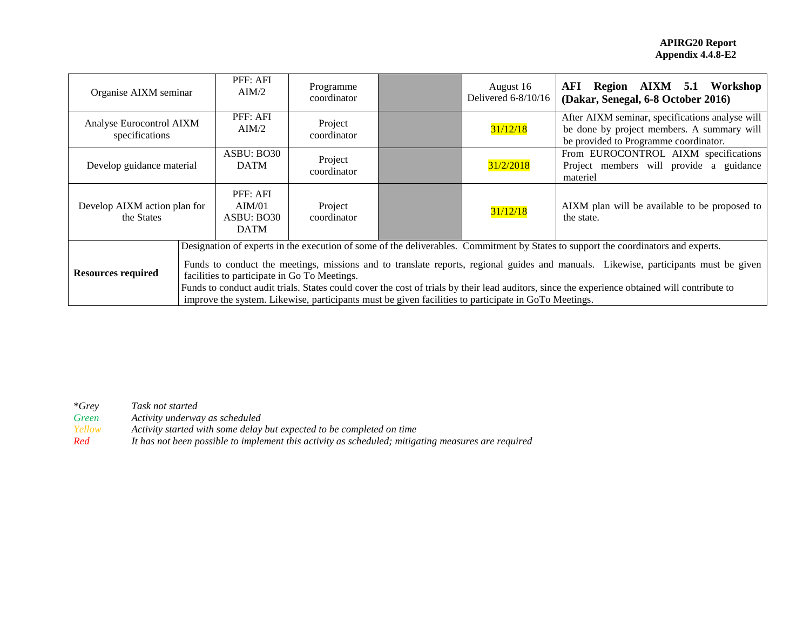| Organise AIXM seminar                      |                                                                                                                                                                                                                                                                                                                                                                                                                                                                                                                                                                                    | PFF: AFI<br>AIM/2                               | Programme<br>coordinator |  | August 16<br>Delivered 6-8/10/16 | AFI Region AIXM 5.1 Workshop<br>(Dakar, Senegal, 6-8 October 2016)                                                                     |  |
|--------------------------------------------|------------------------------------------------------------------------------------------------------------------------------------------------------------------------------------------------------------------------------------------------------------------------------------------------------------------------------------------------------------------------------------------------------------------------------------------------------------------------------------------------------------------------------------------------------------------------------------|-------------------------------------------------|--------------------------|--|----------------------------------|----------------------------------------------------------------------------------------------------------------------------------------|--|
| Analyse Eurocontrol AIXM<br>specifications |                                                                                                                                                                                                                                                                                                                                                                                                                                                                                                                                                                                    | PFF: AFI<br>AIM/2                               | Project<br>coordinator   |  | 31/12/18                         | After AIXM seminar, specifications analyse will<br>be done by project members. A summary will<br>be provided to Programme coordinator. |  |
| Develop guidance material                  |                                                                                                                                                                                                                                                                                                                                                                                                                                                                                                                                                                                    | ASBU: BO30<br><b>DATM</b>                       | Project<br>coordinator   |  | 31/2/2018                        | From EUROCONTROL AIXM specifications<br>Project members will provide a guidance<br>materiel                                            |  |
| Develop AIXM action plan for<br>the States |                                                                                                                                                                                                                                                                                                                                                                                                                                                                                                                                                                                    | PFF: AFI<br>AIM/01<br>ASBU: BO30<br><b>DATM</b> | Project<br>coordinator   |  | 31/12/18                         | AIXM plan will be available to be proposed to<br>the state.                                                                            |  |
| <b>Resources required</b>                  | Designation of experts in the execution of some of the deliverables. Commitment by States to support the coordinators and experts.<br>Funds to conduct the meetings, missions and to translate reports, regional guides and manuals. Likewise, participants must be given<br>facilities to participate in Go To Meetings.<br>Funds to conduct audit trials. States could cover the cost of trials by their lead auditors, since the experience obtained will contribute to<br>improve the system. Likewise, participants must be given facilities to participate in GoTo Meetings. |                                                 |                          |  |                                  |                                                                                                                                        |  |

\**Grey Task not started*

*Green Activity underway as scheduled Yellow Activity started with some delay but expected to be completed on time*

*Red It has not been possible to implement this activity as scheduled; mitigating measures are required*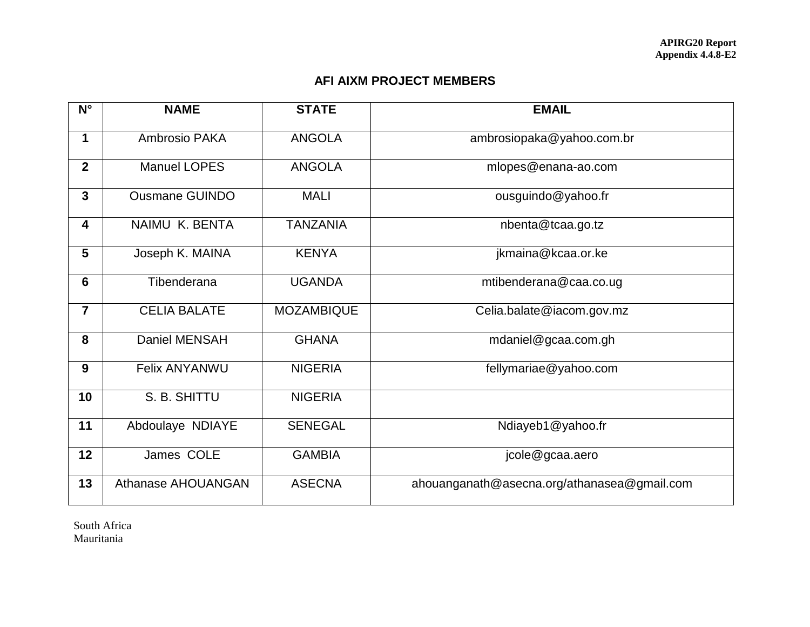## **AFI AIXM PROJECT MEMBERS**

| $N^{\circ}$             | <b>NAME</b>           | <b>STATE</b>      | <b>EMAIL</b>                                |
|-------------------------|-----------------------|-------------------|---------------------------------------------|
| 1                       | Ambrosio PAKA         | <b>ANGOLA</b>     | ambrosiopaka@yahoo.com.br                   |
| $\overline{2}$          | <b>Manuel LOPES</b>   | <b>ANGOLA</b>     | mlopes@enana-ao.com                         |
| 3                       | <b>Ousmane GUINDO</b> | <b>MALI</b>       | ousguindo@yahoo.fr                          |
| $\overline{\mathbf{4}}$ | NAIMU K. BENTA        | <b>TANZANIA</b>   | nbenta@tcaa.go.tz                           |
| 5                       | Joseph K. MAINA       | <b>KENYA</b>      | jkmaina@kcaa.or.ke                          |
| $6\phantom{1}$          | Tibenderana           | <b>UGANDA</b>     | mtibenderana@caa.co.ug                      |
| $\overline{7}$          | <b>CELIA BALATE</b>   | <b>MOZAMBIQUE</b> | Celia.balate@iacom.gov.mz                   |
| 8                       | <b>Daniel MENSAH</b>  | <b>GHANA</b>      | mdaniel@gcaa.com.gh                         |
| 9                       | <b>Felix ANYANWU</b>  | <b>NIGERIA</b>    | fellymariae@yahoo.com                       |
| 10                      | S. B. SHITTU          | <b>NIGERIA</b>    |                                             |
| 11                      | Abdoulaye NDIAYE      | <b>SENEGAL</b>    | Ndiayeb1@yahoo.fr                           |
| 12                      | James COLE            | <b>GAMBIA</b>     | jcole@gcaa.aero                             |
| 13                      | Athanase AHOUANGAN    | <b>ASECNA</b>     | ahouanganath@asecna.org/athanasea@gmail.com |

South Africa Mauritania